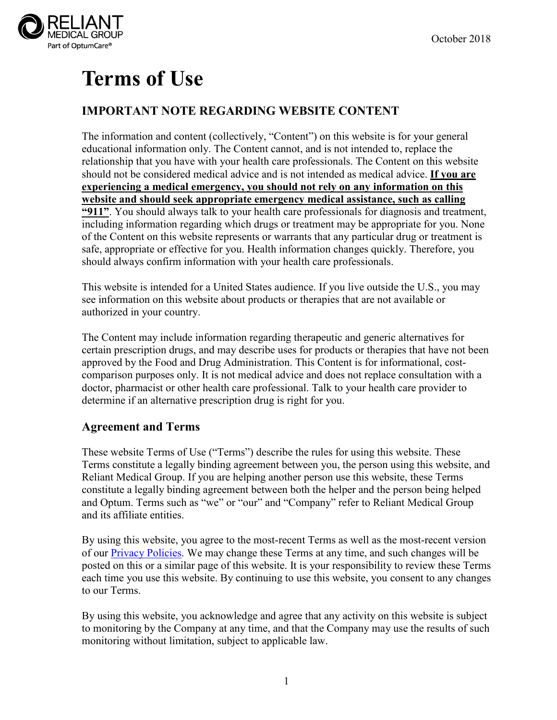

# **Terms of Use**

# **IMPORTANT NOTE REGARDING WEBSITE CONTENT**

The information and content (collectively, "Content") on this website is for your general educational information only. The Content cannot, and is not intended to, replace the relationship that you have with your health care professionals. The Content on this website should not be considered medical advice and is not intended as medical advice. **If you are experiencing a medical emergency, you should not rely on any information on this website and should seek appropriate emergency medical assistance, such as calling "911"**. You should always talk to your health care professionals for diagnosis and treatment, including information regarding which drugs or treatment may be appropriate for you. None of the Content on this website represents or warrants that any particular drug or treatment is safe, appropriate or effective for you. Health information changes quickly. Therefore, you should always confirm information with your health care professionals.

This website is intended for a United States audience. If you live outside the U.S., you may see information on this website about products or therapies that are not available or authorized in your country.

The Content may include information regarding therapeutic and generic alternatives for certain prescription drugs, and may describe uses for products or therapies that have not been approved by the Food and Drug Administration. This Content is for informational, costcomparison purposes only. It is not medical advice and does not replace consultation with a doctor, pharmacist or other health care professional. Talk to your health care provider to determine if an alternative prescription drug is right for you.

# **Agreement and Terms**

These website Terms of Use ("Terms") describe the rules for using this website. These Terms constitute a legally binding agreement between you, the person using this website, and Reliant Medical Group. If you are helping another person use this website, these Terms constitute a legally binding agreement between both the helper and the person being helped and Optum. Terms such as "we" or "our" and "Company" refer to Reliant Medical Group and its affiliate entities.

By using this website, you agree to the most-recent Terms as well as the most-recent version of our [Privacy Policies.](https://reliantmedicalgroup.org/pdfs/privacy.pdf) We may change these Terms at any time, and such changes will be posted on this or a similar page of this website. It is your responsibility to review these Terms each time you use this website. By continuing to use this website, you consent to any changes to our Terms.

By using this website, you acknowledge and agree that any activity on this website is subject to monitoring by the Company at any time, and that the Company may use the results of such monitoring without limitation, subject to applicable law.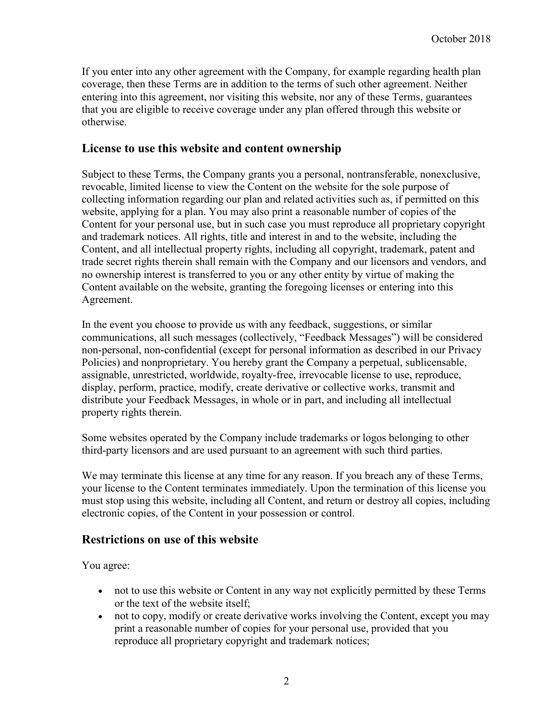If you enter into any other agreement with the Company, for example regarding health plan coverage, then these Terms are in addition to the terms of such other agreement. Neither entering into this agreement, nor visiting this website, nor any of these Terms, guarantees that you are eligible to receive coverage under any plan offered through this website or otherwise.

#### **License to use this website and content ownership**

Subject to these Terms, the Company grants you a personal, nontransferable, nonexclusive, revocable, limited license to view the Content on the website for the sole purpose of collecting information regarding our plan and related activities such as, if permitted on this website, applying for a plan. You may also print a reasonable number of copies of the Content for your personal use, but in such case you must reproduce all proprietary copyright and trademark notices. All rights, title and interest in and to the website, including the Content, and all intellectual property rights, including all copyright, trademark, patent and trade secret rights therein shall remain with the Company and our licensors and vendors, and no ownership interest is transferred to you or any other entity by virtue of making the Content available on the website, granting the foregoing licenses or entering into this Agreement.

In the event you choose to provide us with any feedback, suggestions, or similar communications, all such messages (collectively, "Feedback Messages") will be considered non-personal, non-confidential (except for personal information as described in our Privacy Policies) and nonproprietary. You hereby grant the Company a perpetual, sublicensable, assignable, unrestricted, worldwide, royalty-free, irrevocable license to use, reproduce, display, perform, practice, modify, create derivative or collective works, transmit and distribute your Feedback Messages, in whole or in part, and including all intellectual property rights therein.

Some websites operated by the Company include trademarks or logos belonging to other third-party licensors and are used pursuant to an agreement with such third parties.

We may terminate this license at any time for any reason. If you breach any of these Terms, your license to the Content terminates immediately. Upon the termination of this license you must stop using this website, including all Content, and return or destroy all copies, including electronic copies, of the Content in your possession or control.

#### **Restrictions on use of this website**

You agree:

- not to use this website or Content in any way not explicitly permitted by these Terms or the text of the website itself;
- not to copy, modify or create derivative works involving the Content, except you may print a reasonable number of copies for your personal use, provided that you reproduce all proprietary copyright and trademark notices;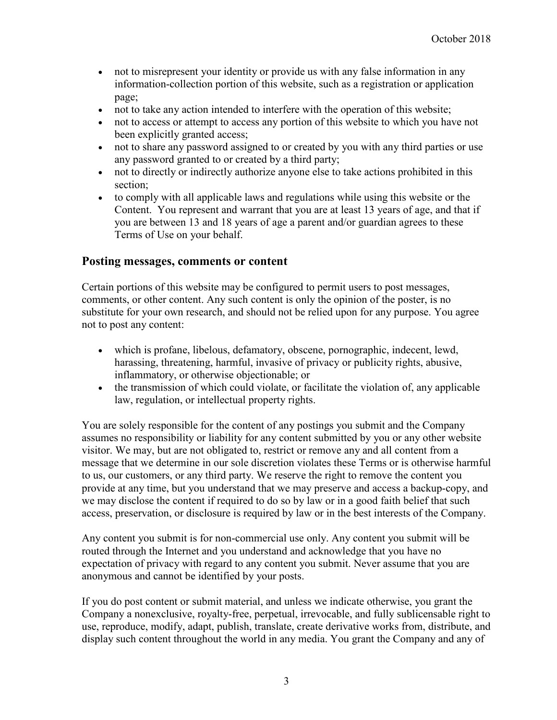- not to misrepresent your identity or provide us with any false information in any information-collection portion of this website, such as a registration or application page;
- not to take any action intended to interfere with the operation of this website;
- not to access or attempt to access any portion of this website to which you have not been explicitly granted access;
- not to share any password assigned to or created by you with any third parties or use any password granted to or created by a third party;
- not to directly or indirectly authorize anyone else to take actions prohibited in this section;
- to comply with all applicable laws and regulations while using this website or the Content. You represent and warrant that you are at least 13 years of age, and that if you are between 13 and 18 years of age a parent and/or guardian agrees to these Terms of Use on your behalf.

#### **Posting messages, comments or content**

Certain portions of this website may be configured to permit users to post messages, comments, or other content. Any such content is only the opinion of the poster, is no substitute for your own research, and should not be relied upon for any purpose. You agree not to post any content:

- which is profane, libelous, defamatory, obscene, pornographic, indecent, lewd, harassing, threatening, harmful, invasive of privacy or publicity rights, abusive, inflammatory, or otherwise objectionable; or
- the transmission of which could violate, or facilitate the violation of, any applicable law, regulation, or intellectual property rights.

You are solely responsible for the content of any postings you submit and the Company assumes no responsibility or liability for any content submitted by you or any other website visitor. We may, but are not obligated to, restrict or remove any and all content from a message that we determine in our sole discretion violates these Terms or is otherwise harmful to us, our customers, or any third party. We reserve the right to remove the content you provide at any time, but you understand that we may preserve and access a backup-copy, and we may disclose the content if required to do so by law or in a good faith belief that such access, preservation, or disclosure is required by law or in the best interests of the Company.

Any content you submit is for non-commercial use only. Any content you submit will be routed through the Internet and you understand and acknowledge that you have no expectation of privacy with regard to any content you submit. Never assume that you are anonymous and cannot be identified by your posts.

If you do post content or submit material, and unless we indicate otherwise, you grant the Company a nonexclusive, royalty-free, perpetual, irrevocable, and fully sublicensable right to use, reproduce, modify, adapt, publish, translate, create derivative works from, distribute, and display such content throughout the world in any media. You grant the Company and any of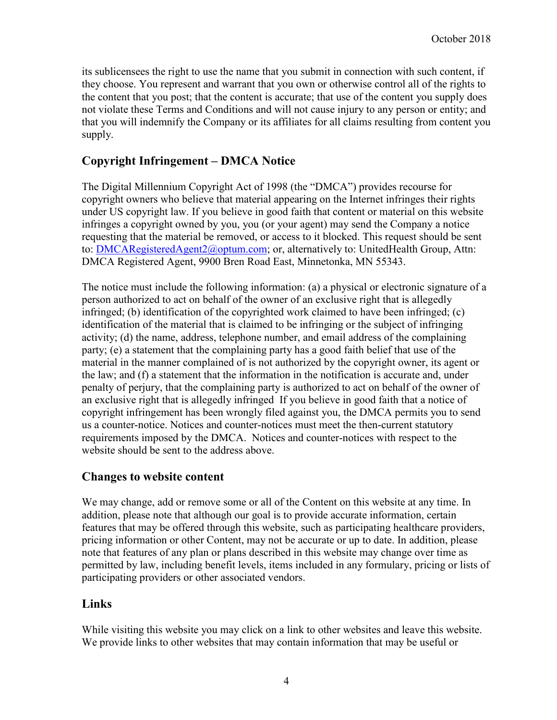its sublicensees the right to use the name that you submit in connection with such content, if they choose. You represent and warrant that you own or otherwise control all of the rights to the content that you post; that the content is accurate; that use of the content you supply does not violate these Terms and Conditions and will not cause injury to any person or entity; and that you will indemnify the Company or its affiliates for all claims resulting from content you supply.

# **Copyright Infringement – DMCA Notice**

The Digital Millennium Copyright Act of 1998 (the "DMCA") provides recourse for copyright owners who believe that material appearing on the Internet infringes their rights under US copyright law. If you believe in good faith that content or material on this website infringes a copyright owned by you, you (or your agent) may send the Company a notice requesting that the material be removed, or access to it blocked. This request should be sent to: [DMCARegisteredAgent2@optum.com;](mailto:DMCARegisteredAgent2@optum.com) or, alternatively to: UnitedHealth Group, Attn: DMCA Registered Agent, 9900 Bren Road East, Minnetonka, MN 55343.

The notice must include the following information: (a) a physical or electronic signature of a person authorized to act on behalf of the owner of an exclusive right that is allegedly infringed; (b) identification of the copyrighted work claimed to have been infringed; (c) identification of the material that is claimed to be infringing or the subject of infringing activity; (d) the name, address, telephone number, and email address of the complaining party; (e) a statement that the complaining party has a good faith belief that use of the material in the manner complained of is not authorized by the copyright owner, its agent or the law; and (f) a statement that the information in the notification is accurate and, under penalty of perjury, that the complaining party is authorized to act on behalf of the owner of an exclusive right that is allegedly infringed If you believe in good faith that a notice of copyright infringement has been wrongly filed against you, the DMCA permits you to send us a counter-notice. Notices and counter-notices must meet the then-current statutory requirements imposed by the DMCA. Notices and counter-notices with respect to the website should be sent to the address above.

# **Changes to website content**

We may change, add or remove some or all of the Content on this website at any time. In addition, please note that although our goal is to provide accurate information, certain features that may be offered through this website, such as participating healthcare providers, pricing information or other Content, may not be accurate or up to date. In addition, please note that features of any plan or plans described in this website may change over time as permitted by law, including benefit levels, items included in any formulary, pricing or lists of participating providers or other associated vendors.

# **Links**

While visiting this website you may click on a link to other websites and leave this website. We provide links to other websites that may contain information that may be useful or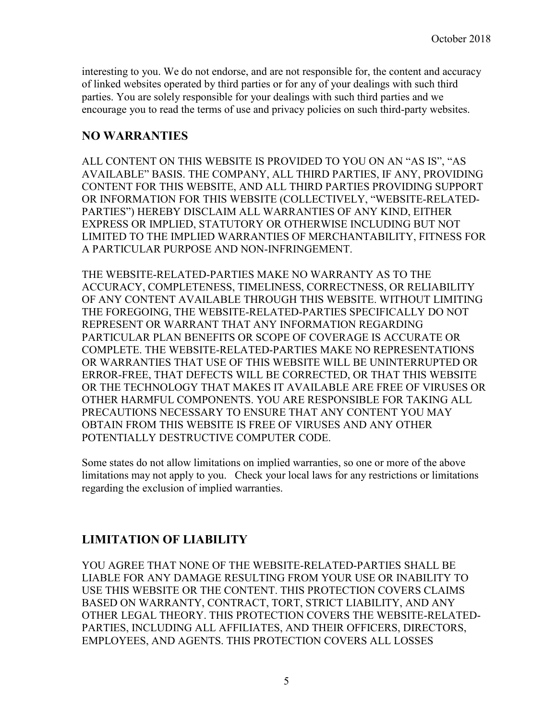interesting to you. We do not endorse, and are not responsible for, the content and accuracy of linked websites operated by third parties or for any of your dealings with such third parties. You are solely responsible for your dealings with such third parties and we encourage you to read the terms of use and privacy policies on such third-party websites.

#### **NO WARRANTIES**

ALL CONTENT ON THIS WEBSITE IS PROVIDED TO YOU ON AN "AS IS", "AS AVAILABLE" BASIS. THE COMPANY, ALL THIRD PARTIES, IF ANY, PROVIDING CONTENT FOR THIS WEBSITE, AND ALL THIRD PARTIES PROVIDING SUPPORT OR INFORMATION FOR THIS WEBSITE (COLLECTIVELY, "WEBSITE-RELATED-PARTIES") HEREBY DISCLAIM ALL WARRANTIES OF ANY KIND, EITHER EXPRESS OR IMPLIED, STATUTORY OR OTHERWISE INCLUDING BUT NOT LIMITED TO THE IMPLIED WARRANTIES OF MERCHANTABILITY, FITNESS FOR A PARTICULAR PURPOSE AND NON-INFRINGEMENT.

THE WEBSITE-RELATED-PARTIES MAKE NO WARRANTY AS TO THE ACCURACY, COMPLETENESS, TIMELINESS, CORRECTNESS, OR RELIABILITY OF ANY CONTENT AVAILABLE THROUGH THIS WEBSITE. WITHOUT LIMITING THE FOREGOING, THE WEBSITE-RELATED-PARTIES SPECIFICALLY DO NOT REPRESENT OR WARRANT THAT ANY INFORMATION REGARDING PARTICULAR PLAN BENEFITS OR SCOPE OF COVERAGE IS ACCURATE OR COMPLETE. THE WEBSITE-RELATED-PARTIES MAKE NO REPRESENTATIONS OR WARRANTIES THAT USE OF THIS WEBSITE WILL BE UNINTERRUPTED OR ERROR-FREE, THAT DEFECTS WILL BE CORRECTED, OR THAT THIS WEBSITE OR THE TECHNOLOGY THAT MAKES IT AVAILABLE ARE FREE OF VIRUSES OR OTHER HARMFUL COMPONENTS. YOU ARE RESPONSIBLE FOR TAKING ALL PRECAUTIONS NECESSARY TO ENSURE THAT ANY CONTENT YOU MAY OBTAIN FROM THIS WEBSITE IS FREE OF VIRUSES AND ANY OTHER POTENTIALLY DESTRUCTIVE COMPUTER CODE.

Some states do not allow limitations on implied warranties, so one or more of the above limitations may not apply to you. Check your local laws for any restrictions or limitations regarding the exclusion of implied warranties.

# **LIMITATION OF LIABILITY**

YOU AGREE THAT NONE OF THE WEBSITE-RELATED-PARTIES SHALL BE LIABLE FOR ANY DAMAGE RESULTING FROM YOUR USE OR INABILITY TO USE THIS WEBSITE OR THE CONTENT. THIS PROTECTION COVERS CLAIMS BASED ON WARRANTY, CONTRACT, TORT, STRICT LIABILITY, AND ANY OTHER LEGAL THEORY. THIS PROTECTION COVERS THE WEBSITE-RELATED-PARTIES, INCLUDING ALL AFFILIATES, AND THEIR OFFICERS, DIRECTORS, EMPLOYEES, AND AGENTS. THIS PROTECTION COVERS ALL LOSSES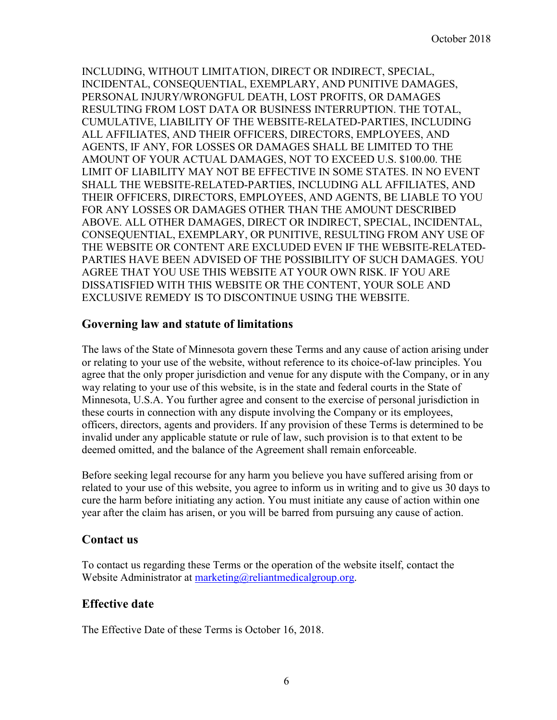INCLUDING, WITHOUT LIMITATION, DIRECT OR INDIRECT, SPECIAL, INCIDENTAL, CONSEQUENTIAL, EXEMPLARY, AND PUNITIVE DAMAGES, PERSONAL INJURY/WRONGFUL DEATH, LOST PROFITS, OR DAMAGES RESULTING FROM LOST DATA OR BUSINESS INTERRUPTION. THE TOTAL, CUMULATIVE, LIABILITY OF THE WEBSITE-RELATED-PARTIES, INCLUDING ALL AFFILIATES, AND THEIR OFFICERS, DIRECTORS, EMPLOYEES, AND AGENTS, IF ANY, FOR LOSSES OR DAMAGES SHALL BE LIMITED TO THE AMOUNT OF YOUR ACTUAL DAMAGES, NOT TO EXCEED U.S. \$100.00. THE LIMIT OF LIABILITY MAY NOT BE EFFECTIVE IN SOME STATES. IN NO EVENT SHALL THE WEBSITE-RELATED-PARTIES, INCLUDING ALL AFFILIATES, AND THEIR OFFICERS, DIRECTORS, EMPLOYEES, AND AGENTS, BE LIABLE TO YOU FOR ANY LOSSES OR DAMAGES OTHER THAN THE AMOUNT DESCRIBED ABOVE. ALL OTHER DAMAGES, DIRECT OR INDIRECT, SPECIAL, INCIDENTAL, CONSEQUENTIAL, EXEMPLARY, OR PUNITIVE, RESULTING FROM ANY USE OF THE WEBSITE OR CONTENT ARE EXCLUDED EVEN IF THE WEBSITE-RELATED-PARTIES HAVE BEEN ADVISED OF THE POSSIBILITY OF SUCH DAMAGES. YOU AGREE THAT YOU USE THIS WEBSITE AT YOUR OWN RISK. IF YOU ARE DISSATISFIED WITH THIS WEBSITE OR THE CONTENT, YOUR SOLE AND EXCLUSIVE REMEDY IS TO DISCONTINUE USING THE WEBSITE.

#### **Governing law and statute of limitations**

The laws of the State of Minnesota govern these Terms and any cause of action arising under or relating to your use of the website, without reference to its choice-of-law principles. You agree that the only proper jurisdiction and venue for any dispute with the Company, or in any way relating to your use of this website, is in the state and federal courts in the State of Minnesota, U.S.A. You further agree and consent to the exercise of personal jurisdiction in these courts in connection with any dispute involving the Company or its employees, officers, directors, agents and providers. If any provision of these Terms is determined to be invalid under any applicable statute or rule of law, such provision is to that extent to be deemed omitted, and the balance of the Agreement shall remain enforceable.

Before seeking legal recourse for any harm you believe you have suffered arising from or related to your use of this website, you agree to inform us in writing and to give us 30 days to cure the harm before initiating any action. You must initiate any cause of action within one year after the claim has arisen, or you will be barred from pursuing any cause of action.

#### **Contact us**

To contact us regarding these Terms or the operation of the website itself, contact the Website Administrator at [marketing@reliantmedicalgroup.org.](mailto:marketing@reliantmedicalgroup.org)

# **Effective date**

The Effective Date of these Terms is October 16, 2018.